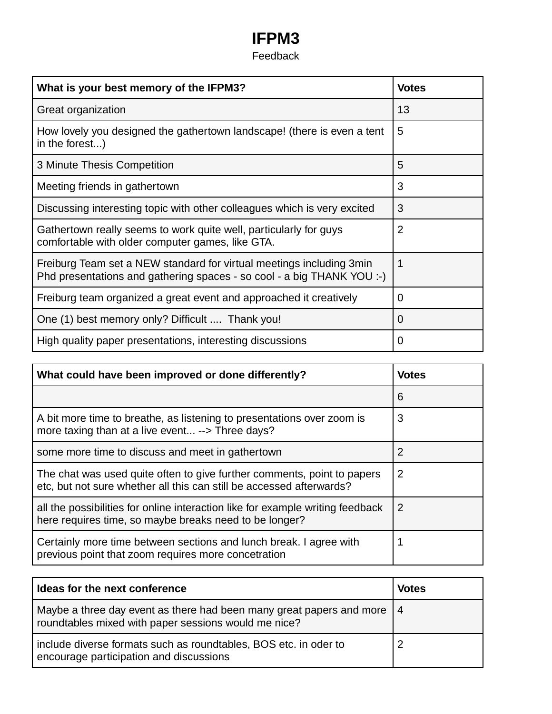## **IFPM3** Feedback

| What is your best memory of the IFPM3?                                                                                                         | <b>Votes</b>   |
|------------------------------------------------------------------------------------------------------------------------------------------------|----------------|
| Great organization                                                                                                                             | 13             |
| How lovely you designed the gathertown landscape! (there is even a tent<br>in the forest)                                                      | 5              |
| 3 Minute Thesis Competition                                                                                                                    | 5              |
| Meeting friends in gathertown                                                                                                                  | 3              |
| Discussing interesting topic with other colleagues which is very excited                                                                       | 3              |
| Gathertown really seems to work quite well, particularly for guys<br>comfortable with older computer games, like GTA.                          | $\overline{2}$ |
| Freiburg Team set a NEW standard for virtual meetings including 3min<br>Phd presentations and gathering spaces - so cool - a big THANK YOU :-) |                |
| Freiburg team organized a great event and approached it creatively                                                                             | 0              |
| One (1) best memory only? Difficult  Thank you!                                                                                                | 0              |
| High quality paper presentations, interesting discussions                                                                                      | $\Omega$       |

| What could have been improved or done differently?                                                                                              | <b>Votes</b> |
|-------------------------------------------------------------------------------------------------------------------------------------------------|--------------|
|                                                                                                                                                 | 6            |
| A bit more time to breathe, as listening to presentations over zoom is<br>more taxing than at a live event --> Three days?                      | 3            |
| some more time to discuss and meet in gathertown                                                                                                | 2            |
| The chat was used quite often to give further comments, point to papers<br>etc, but not sure whether all this can still be accessed afterwards? | 2            |
| all the possibilities for online interaction like for example writing feedback<br>here requires time, so maybe breaks need to be longer?        | 2            |
| Certainly more time between sections and lunch break. I agree with<br>previous point that zoom requires more concetration                       |              |

| Ideas for the next conference                                                                                                    | Votes |
|----------------------------------------------------------------------------------------------------------------------------------|-------|
| Maybe a three day event as there had been many great papers and more   4<br>roundtables mixed with paper sessions would me nice? |       |
| include diverse formats such as roundtables, BOS etc. in oder to<br>encourage participation and discussions                      |       |